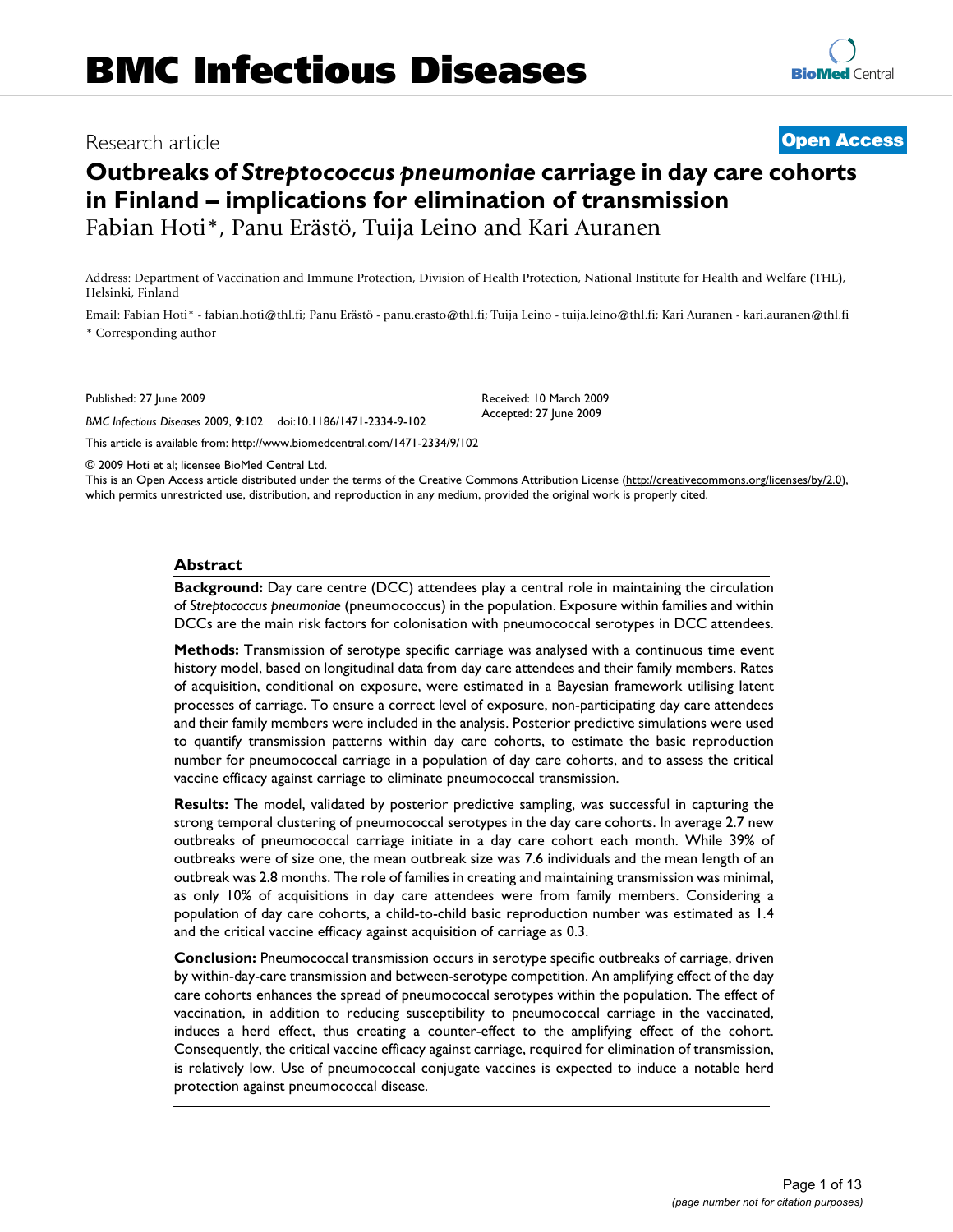## Research article **[Open Access](http://www.biomedcentral.com/info/about/charter/)**

# **Outbreaks of** *Streptococcus pneumoniae* **carriage in day care cohorts in Finland – implications for elimination of transmission** Fabian Hoti\*, Panu Erästö, Tuija Leino and Kari Auranen

Address: Department of Vaccination and Immune Protection, Division of Health Protection, National Institute for Health and Welfare (THL), Helsinki, Finland

Email: Fabian Hoti\* - fabian.hoti@thl.fi; Panu Erästö - panu.erasto@thl.fi; Tuija Leino - tuija.leino@thl.fi; Kari Auranen - kari.auranen@thl.fi \* Corresponding author

Published: 27 June 2009

*BMC Infectious Diseases* 2009, **9**:102 doi:10.1186/1471-2334-9-102

[This article is available from: http://www.biomedcentral.com/1471-2334/9/102](http://www.biomedcentral.com/1471-2334/9/102)

Received: 10 March 2009 Accepted: 27 June 2009

© 2009 Hoti et al; licensee BioMed Central Ltd.

This is an Open Access article distributed under the terms of the Creative Commons Attribution License [\(http://creativecommons.org/licenses/by/2.0\)](http://creativecommons.org/licenses/by/2.0), which permits unrestricted use, distribution, and reproduction in any medium, provided the original work is properly cited.

#### **Abstract**

**Background:** Day care centre (DCC) attendees play a central role in maintaining the circulation of *Streptococcus pneumoniae* (pneumococcus) in the population. Exposure within families and within DCCs are the main risk factors for colonisation with pneumococcal serotypes in DCC attendees.

**Methods:** Transmission of serotype specific carriage was analysed with a continuous time event history model, based on longitudinal data from day care attendees and their family members. Rates of acquisition, conditional on exposure, were estimated in a Bayesian framework utilising latent processes of carriage. To ensure a correct level of exposure, non-participating day care attendees and their family members were included in the analysis. Posterior predictive simulations were used to quantify transmission patterns within day care cohorts, to estimate the basic reproduction number for pneumococcal carriage in a population of day care cohorts, and to assess the critical vaccine efficacy against carriage to eliminate pneumococcal transmission.

**Results:** The model, validated by posterior predictive sampling, was successful in capturing the strong temporal clustering of pneumococcal serotypes in the day care cohorts. In average 2.7 new outbreaks of pneumococcal carriage initiate in a day care cohort each month. While 39% of outbreaks were of size one, the mean outbreak size was 7.6 individuals and the mean length of an outbreak was 2.8 months. The role of families in creating and maintaining transmission was minimal, as only 10% of acquisitions in day care attendees were from family members. Considering a population of day care cohorts, a child-to-child basic reproduction number was estimated as 1.4 and the critical vaccine efficacy against acquisition of carriage as 0.3.

**Conclusion:** Pneumococcal transmission occurs in serotype specific outbreaks of carriage, driven by within-day-care transmission and between-serotype competition. An amplifying effect of the day care cohorts enhances the spread of pneumococcal serotypes within the population. The effect of vaccination, in addition to reducing susceptibility to pneumococcal carriage in the vaccinated, induces a herd effect, thus creating a counter-effect to the amplifying effect of the cohort. Consequently, the critical vaccine efficacy against carriage, required for elimination of transmission, is relatively low. Use of pneumococcal conjugate vaccines is expected to induce a notable herd protection against pneumococcal disease.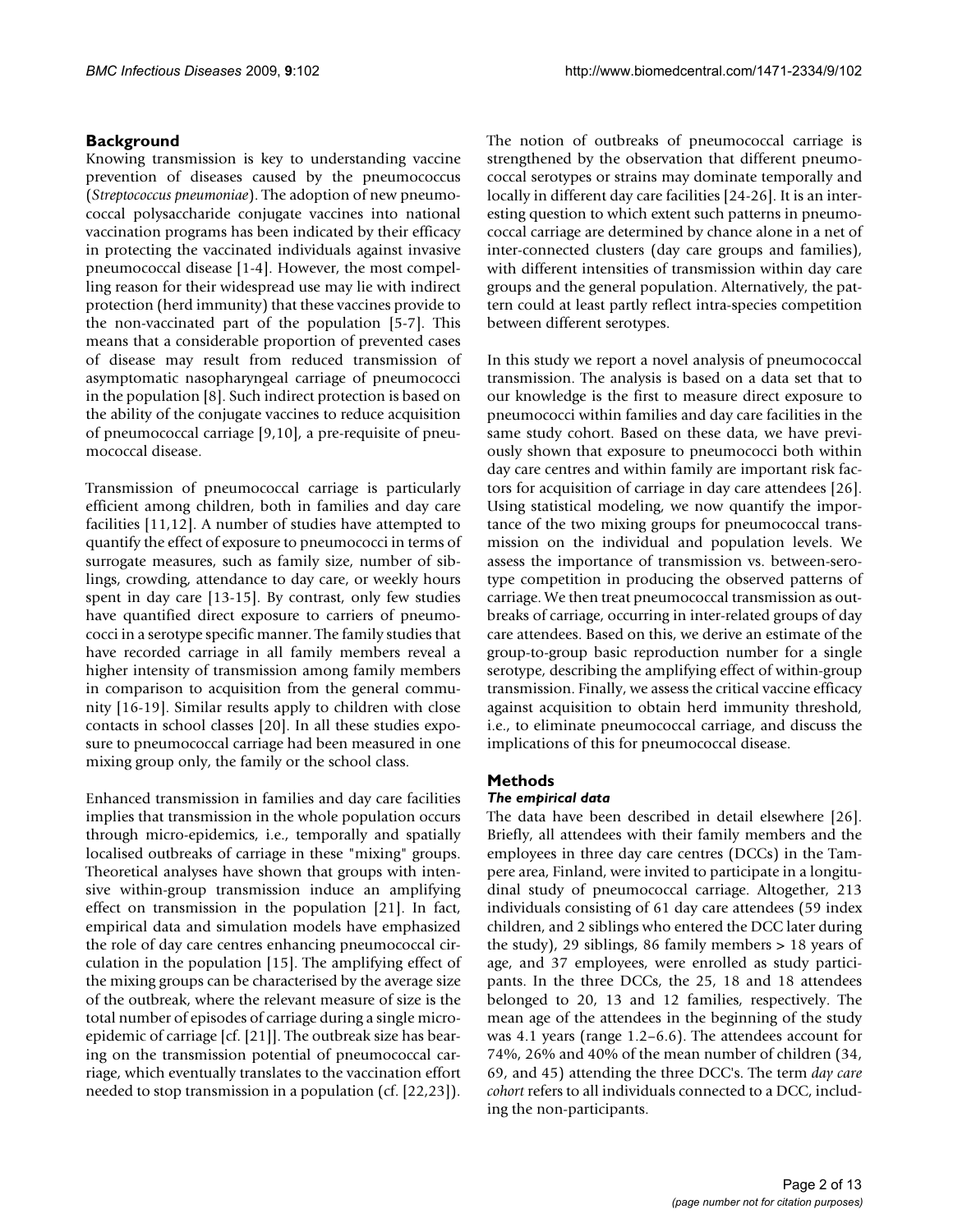## **Background**

Knowing transmission is key to understanding vaccine prevention of diseases caused by the pneumococcus (*Streptococcus pneumoniae*). The adoption of new pneumococcal polysaccharide conjugate vaccines into national vaccination programs has been indicated by their efficacy in protecting the vaccinated individuals against invasive pneumococcal disease [\[1-](#page-11-0)[4](#page-11-1)]. However, the most compelling reason for their widespread use may lie with indirect protection (herd immunity) that these vaccines provide to the non-vaccinated part of the population [\[5-](#page-11-2)[7](#page-11-3)]. This means that a considerable proportion of prevented cases of disease may result from reduced transmission of asymptomatic nasopharyngeal carriage of pneumococci in the population [[8](#page-11-4)]. Such indirect protection is based on the ability of the conjugate vaccines to reduce acquisition of pneumococcal carriage [\[9](#page-12-0)[,10](#page-12-1)], a pre-requisite of pneumococcal disease.

Transmission of pneumococcal carriage is particularly efficient among children, both in families and day care facilities [\[11](#page-12-2),[12\]](#page-12-3). A number of studies have attempted to quantify the effect of exposure to pneumococci in terms of surrogate measures, such as family size, number of siblings, crowding, attendance to day care, or weekly hours spent in day care [[13-](#page-12-4)[15\]](#page-12-5). By contrast, only few studies have quantified direct exposure to carriers of pneumococci in a serotype specific manner. The family studies that have recorded carriage in all family members reveal a higher intensity of transmission among family members in comparison to acquisition from the general community [\[16](#page-12-6)[-19\]](#page-12-7). Similar results apply to children with close contacts in school classes [[20](#page-12-8)]. In all these studies exposure to pneumococcal carriage had been measured in one mixing group only, the family or the school class.

Enhanced transmission in families and day care facilities implies that transmission in the whole population occurs through micro-epidemics, i.e., temporally and spatially localised outbreaks of carriage in these "mixing" groups. Theoretical analyses have shown that groups with intensive within-group transmission induce an amplifying effect on transmission in the population [\[21](#page-12-9)]. In fact, empirical data and simulation models have emphasized the role of day care centres enhancing pneumococcal circulation in the population [[15\]](#page-12-5). The amplifying effect of the mixing groups can be characterised by the average size of the outbreak, where the relevant measure of size is the total number of episodes of carriage during a single microepidemic of carriage [cf. [[21](#page-12-9)]]. The outbreak size has bearing on the transmission potential of pneumococcal carriage, which eventually translates to the vaccination effort needed to stop transmission in a population (cf. [\[22](#page-12-10)[,23](#page-12-11)]).

The notion of outbreaks of pneumococcal carriage is strengthened by the observation that different pneumococcal serotypes or strains may dominate temporally and locally in different day care facilities [\[24](#page-12-12)[-26](#page-12-13)]. It is an interesting question to which extent such patterns in pneumococcal carriage are determined by chance alone in a net of inter-connected clusters (day care groups and families), with different intensities of transmission within day care groups and the general population. Alternatively, the pattern could at least partly reflect intra-species competition between different serotypes.

In this study we report a novel analysis of pneumococcal transmission. The analysis is based on a data set that to our knowledge is the first to measure direct exposure to pneumococci within families and day care facilities in the same study cohort. Based on these data, we have previously shown that exposure to pneumococci both within day care centres and within family are important risk factors for acquisition of carriage in day care attendees [\[26](#page-12-13)]. Using statistical modeling, we now quantify the importance of the two mixing groups for pneumococcal transmission on the individual and population levels. We assess the importance of transmission vs. between-serotype competition in producing the observed patterns of carriage. We then treat pneumococcal transmission as outbreaks of carriage, occurring in inter-related groups of day care attendees. Based on this, we derive an estimate of the group-to-group basic reproduction number for a single serotype, describing the amplifying effect of within-group transmission. Finally, we assess the critical vaccine efficacy against acquisition to obtain herd immunity threshold, i.e., to eliminate pneumococcal carriage, and discuss the implications of this for pneumococcal disease.

## **Methods**

## *The empirical data*

The data have been described in detail elsewhere [\[26](#page-12-13)]. Briefly, all attendees with their family members and the employees in three day care centres (DCCs) in the Tampere area, Finland, were invited to participate in a longitudinal study of pneumococcal carriage. Altogether, 213 individuals consisting of 61 day care attendees (59 index children, and 2 siblings who entered the DCC later during the study), 29 siblings, 86 family members > 18 years of age, and 37 employees, were enrolled as study participants. In the three DCCs, the 25, 18 and 18 attendees belonged to 20, 13 and 12 families, respectively. The mean age of the attendees in the beginning of the study was 4.1 years (range 1.2–6.6). The attendees account for 74%, 26% and 40% of the mean number of children (34, 69, and 45) attending the three DCC's. The term *day care cohort* refers to all individuals connected to a DCC, including the non-participants.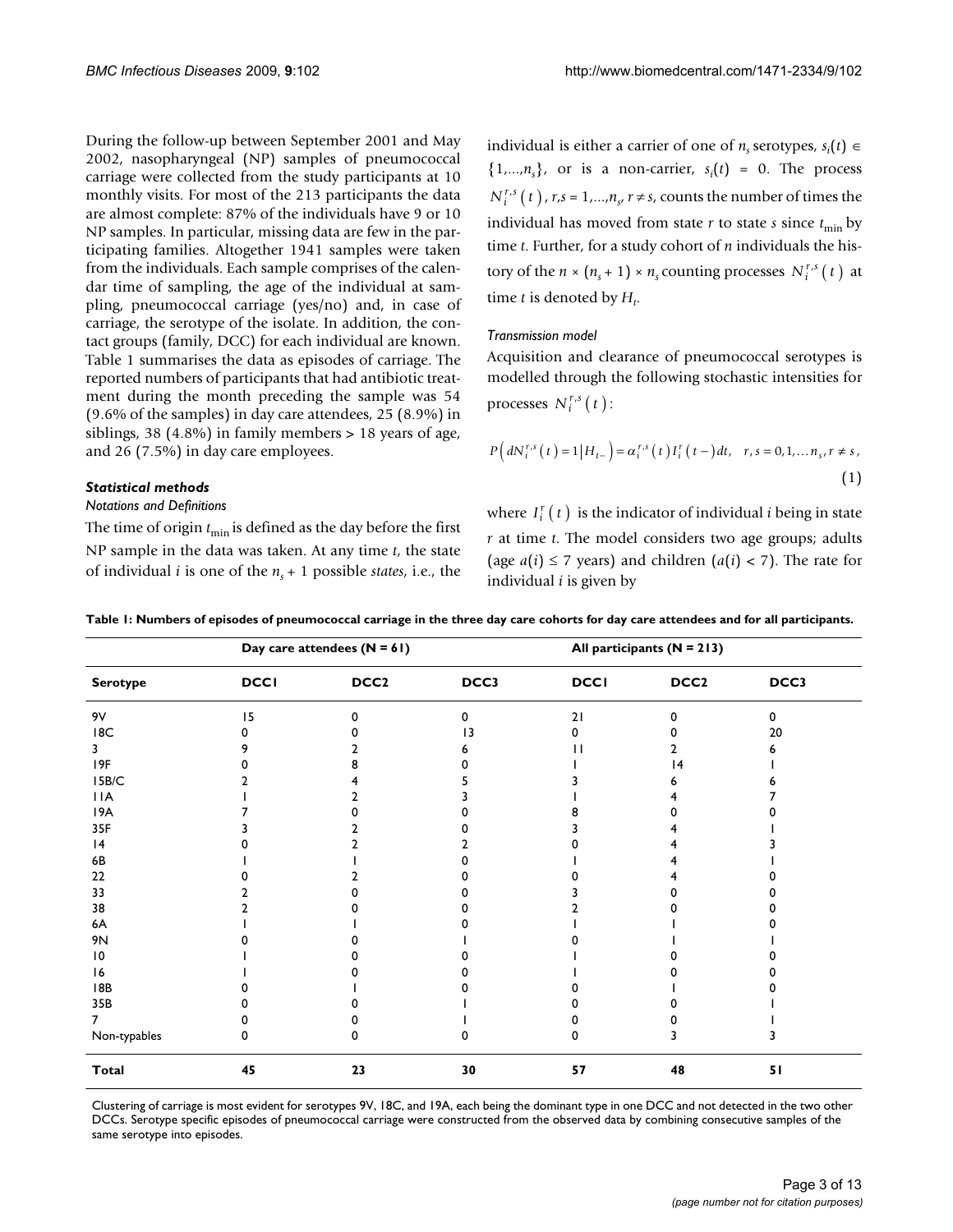During the follow-up between September 2001 and May 2002, nasopharyngeal (NP) samples of pneumococcal carriage were collected from the study participants at 10 monthly visits. For most of the 213 participants the data are almost complete: 87% of the individuals have 9 or 10 NP samples. In particular, missing data are few in the participating families. Altogether 1941 samples were taken from the individuals. Each sample comprises of the calendar time of sampling, the age of the individual at sampling, pneumococcal carriage (yes/no) and, in case of carriage, the serotype of the isolate. In addition, the contact groups (family, DCC) for each individual are known. Table [1](#page-2-0) summarises the data as episodes of carriage. The reported numbers of participants that had antibiotic treatment during the month preceding the sample was 54 (9.6% of the samples) in day care attendees, 25 (8.9%) in siblings, 38 (4.8%) in family members  $> 18$  years of age, and 26 (7.5%) in day care employees.

#### *Statistical methods*

#### *Notations and Definitions*

The time of origin  $t_{\min}$  is defined as the day before the first NP sample in the data was taken. At any time *t*, the state of individual *i* is one of the  $n_s + 1$  possible *states*, i.e., the

individual is either a carrier of one of  $n_s$  serotypes,  $s_i(t) \in$  $\{1,...,n_s\}$ , or is a non-carrier,  $s_i(t) = 0$ . The process  $N_i^{r,s}(t)$ ,  $r,s = 1,...,n_s$ ,  $r \neq s$ , counts the number of times the individual has moved from state  $r$  to state  $s$  since  $t_{\min}$  by time *t*. Further, for a study cohort of *n* individuals the history of the  $n \times (n_s + 1) \times n_s$  counting processes  $N_i^{r,s}(t)$  at time *t* is denoted by  $H_t$ .

#### *Transmission model*

Acquisition and clearance of pneumococcal serotypes is modelled through the following stochastic intensities for processes  $N_i^{r,s}(t)$ :

$$
P(dN_i^{r,s}(t)) = 1|H_{t-}\big) = \alpha_i^{r,s}(t)I_i^r(t-)dt, \quad r,s = 0,1,...n_s, r \neq s,
$$
\n
$$
(1)
$$

where  $I_i^r(t)$  is the indicator of individual *i* being in state *r* at time *t*. The model considers two age groups; adults (age  $a(i) \le 7$  years) and children  $(a(i) < 7)$ . The rate for individual *i* is given by

| <b>Serotype</b> | Day care attendees $(N = 61)$ |                  |           | All participants $(N = 213)$ |                  |      |
|-----------------|-------------------------------|------------------|-----------|------------------------------|------------------|------|
|                 | <b>DCCI</b>                   | DCC <sub>2</sub> | DCC3      | <b>DCCI</b>                  | DCC <sub>2</sub> | DCC3 |
| $9V$            | 15                            |                  | 0         | 21                           | 0                | 0    |
| 18C             | O                             |                  | 13        | 0                            |                  | 20   |
| 3               |                               |                  |           |                              |                  |      |
| 19F             |                               |                  |           |                              | 4                |      |
| $15B/C$         |                               |                  |           |                              |                  |      |
| IIA             |                               |                  |           |                              |                  |      |
| 19A             |                               |                  |           |                              |                  |      |
| 35F             |                               |                  |           |                              |                  |      |
| 4               |                               |                  |           |                              |                  |      |
| 6B              |                               |                  |           |                              |                  |      |
| 22              |                               |                  |           |                              |                  |      |
| 33              |                               |                  |           |                              |                  |      |
| 38              |                               |                  |           |                              |                  |      |
| 6A              |                               |                  |           |                              |                  |      |
| 9N              |                               |                  |           |                              |                  |      |
| $\overline{10}$ |                               |                  |           |                              |                  |      |
| 16              |                               |                  |           |                              |                  |      |
| 18B             |                               |                  |           |                              |                  |      |
| 35B             |                               |                  |           |                              |                  |      |
|                 |                               |                  |           |                              |                  |      |
| Non-typables    | 0                             |                  |           | o                            | ٦                |      |
| <b>Total</b>    | 45                            | ${\bf 23}$       | $\bf{30}$ | 57                           | 48               | 51   |

<span id="page-2-0"></span>**Table 1: Numbers of episodes of pneumococcal carriage in the three day care cohorts for day care attendees and for all participants.**

Clustering of carriage is most evident for serotypes 9V, 18C, and 19A, each being the dominant type in one DCC and not detected in the two other DCCs. Serotype specific episodes of pneumococcal carriage were constructed from the observed data by combining consecutive samples of the same serotype into episodes.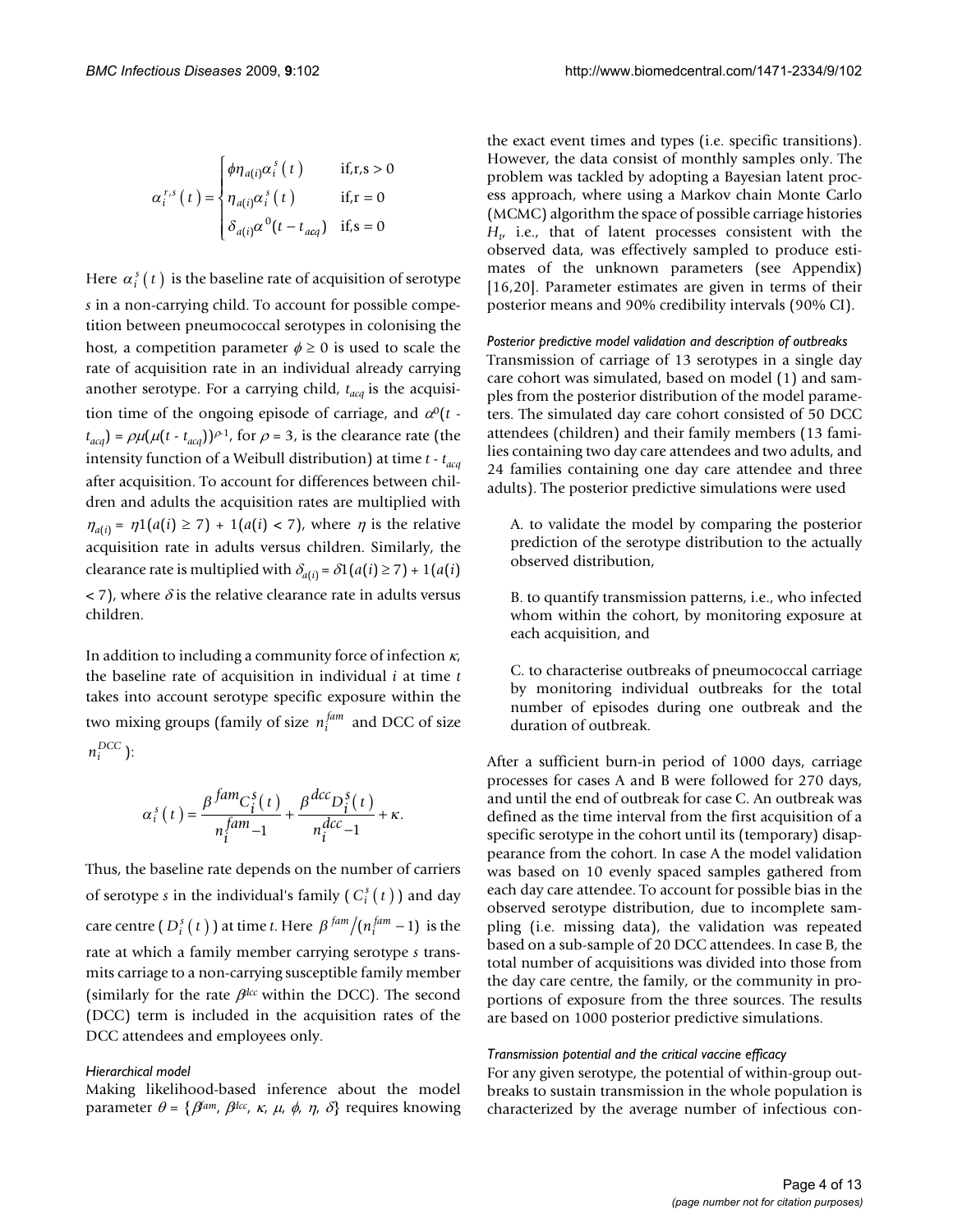$$
\alpha_i^{r,s}(t) = \begin{cases} \phi \eta_{a(i)} \alpha_i^s(t) & \text{if}, r, s > 0 \\ \eta_{a(i)} \alpha_i^s(t) & \text{if}, r = 0 \\ \delta_{a(i)} \alpha^0(t - t_{acq}) & \text{if}, s = 0 \end{cases}
$$

Here  $\alpha_i^s(t)$  is the baseline rate of acquisition of serotype *s* in a non-carrying child. To account for possible competition between pneumococcal serotypes in colonising the host, a competition parameter  $\phi \ge 0$  is used to scale the rate of acquisition rate in an individual already carrying another serotype. For a carrying child,  $t_{acd}$  is the acquisition time of the ongoing episode of carriage, and  $\alpha^0(t$  $t_{\text{acd}} = \rho \mu (\mu (t - t_{\text{acd}}))^{\rho \cdot 1}$ , for  $\rho = 3$ , is the clearance rate (the intensity function of a Weibull distribution) at time *t* - *tacq* after acquisition. To account for differences between children and adults the acquisition rates are multiplied with  $\eta_{a(i)} = \eta \mathbb{1}(a(i) \geq 7) + \mathbb{1}(a(i) < 7)$ , where  $\eta$  is the relative acquisition rate in adults versus children. Similarly, the clearance rate is multiplied with  $\delta_{a(i)} = \delta \mathbb{1}(a(i) \geq 7) + \mathbb{1}(a(i))$  $\langle$  7), where  $\delta$  is the relative clearance rate in adults versus children.

In addition to including a community force of infection  $\kappa$ , the baseline rate of acquisition in individual *i* at time *t* takes into account serotype specific exposure within the two mixing groups (family of size  $n_i^{fam}$  and DCC of size  $n_i^{DCC}$  ):

$$
\alpha_i^s(t) = \frac{\beta^{fam}C_i^s(t)}{n_i^{fam}-1} + \frac{\beta^{dcc}D_i^s(t)}{n_i^{dcc}-1} + \kappa.
$$

Thus, the baseline rate depends on the number of carriers of serotype *s* in the individual's family  $(C_i^s(t))$  and day care centre (  $D_i^s(t)$  ) at time *t*. Here  $\beta^{fam}/(n_i^{fam}-1)$  is the rate at which a family member carrying serotype *s* transmits carriage to a non-carrying susceptible family member (similarly for the rate β*dcc* within the DCC). The second (DCC) term is included in the acquisition rates of the DCC attendees and employees only.

#### *Hierarchical model*

Making likelihood-based inference about the model parameter  $θ = {β<sup>fan</sup>, β<sup>lcc</sup>, κ, μ, φ, η, δ}$  requires knowing the exact event times and types (i.e. specific transitions). However, the data consist of monthly samples only. The problem was tackled by adopting a Bayesian latent process approach, where using a Markov chain Monte Carlo (MCMC) algorithm the space of possible carriage histories  $H_{\nu}$  i.e., that of latent processes consistent with the observed data, was effectively sampled to produce estimates of the unknown parameters (see Appendix) [[16](#page-12-6),[20\]](#page-12-8). Parameter estimates are given in terms of their posterior means and 90% credibility intervals (90% CI).

*Posterior predictive model validation and description of outbreaks* Transmission of carriage of 13 serotypes in a single day care cohort was simulated, based on model (1) and samples from the posterior distribution of the model parameters. The simulated day care cohort consisted of 50 DCC attendees (children) and their family members (13 families containing two day care attendees and two adults, and 24 families containing one day care attendee and three adults). The posterior predictive simulations were used

A. to validate the model by comparing the posterior prediction of the serotype distribution to the actually observed distribution,

B. to quantify transmission patterns, i.e., who infected whom within the cohort, by monitoring exposure at each acquisition, and

C. to characterise outbreaks of pneumococcal carriage by monitoring individual outbreaks for the total number of episodes during one outbreak and the duration of outbreak.

After a sufficient burn-in period of 1000 days, carriage processes for cases A and B were followed for 270 days, and until the end of outbreak for case C. An outbreak was defined as the time interval from the first acquisition of a specific serotype in the cohort until its (temporary) disappearance from the cohort. In case A the model validation was based on 10 evenly spaced samples gathered from each day care attendee. To account for possible bias in the observed serotype distribution, due to incomplete sampling (i.e. missing data), the validation was repeated based on a sub-sample of 20 DCC attendees. In case B, the total number of acquisitions was divided into those from the day care centre, the family, or the community in proportions of exposure from the three sources. The results are based on 1000 posterior predictive simulations.

#### *Transmission potential and the critical vaccine efficacy*

For any given serotype, the potential of within-group outbreaks to sustain transmission in the whole population is characterized by the average number of infectious con-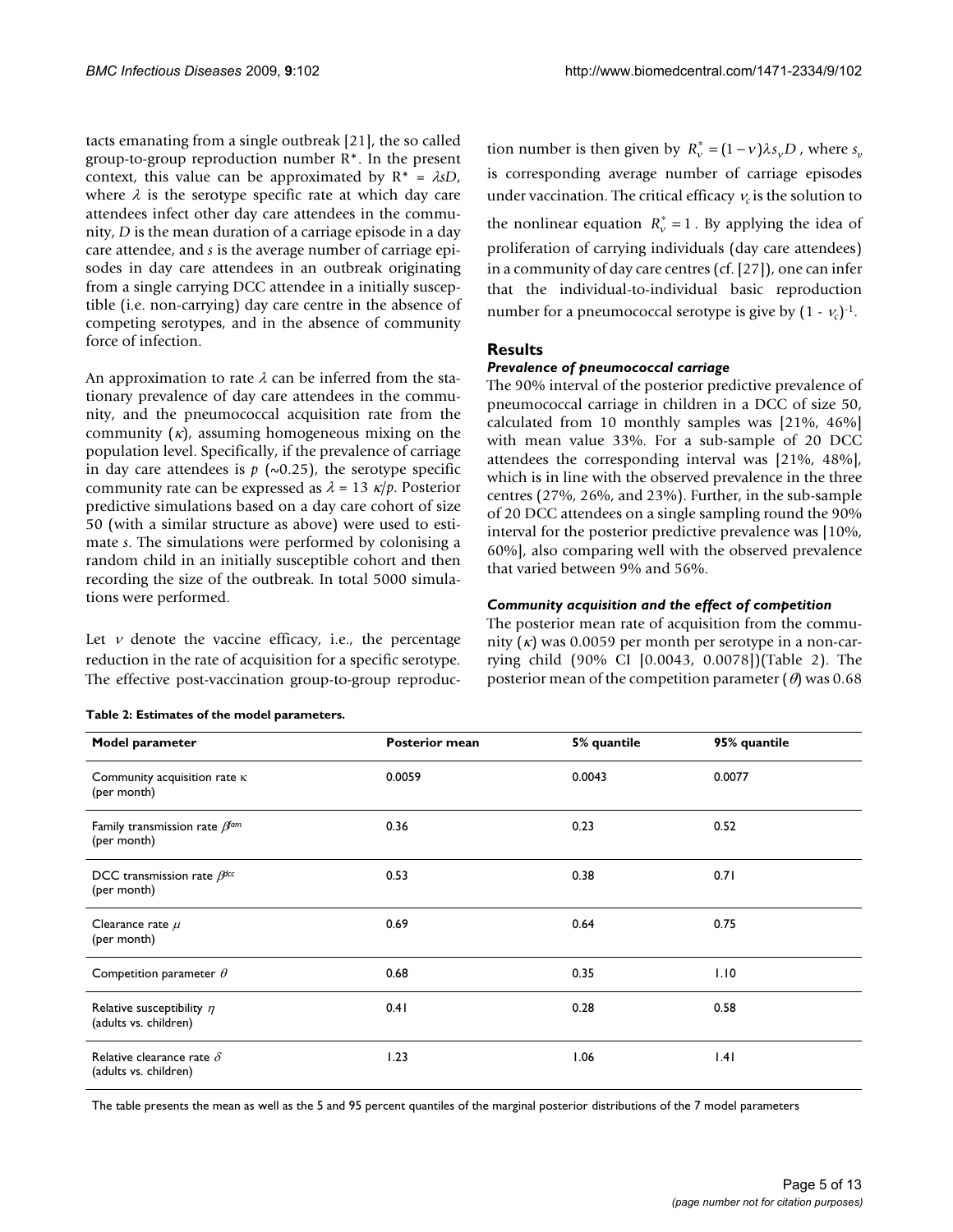tacts emanating from a single outbreak [\[21](#page-12-9)], the so called group-to-group reproduction number R\*. In the present context, this value can be approximated by  $R^* = \lambda sD$ , where  $\lambda$  is the serotype specific rate at which day care attendees infect other day care attendees in the community, *D* is the mean duration of a carriage episode in a day care attendee, and *s* is the average number of carriage episodes in day care attendees in an outbreak originating from a single carrying DCC attendee in a initially susceptible (i.e. non-carrying) day care centre in the absence of competing serotypes, and in the absence of community force of infection.

An approximation to rate  $\lambda$  can be inferred from the stationary prevalence of day care attendees in the community, and the pneumococcal acquisition rate from the community  $(\kappa)$ , assuming homogeneous mixing on the population level. Specifically, if the prevalence of carriage in day care attendees is  $p \sim 0.25$ , the serotype specific community rate can be expressed as  $\lambda = 13 \kappa/p$ . Posterior predictive simulations based on a day care cohort of size 50 (with a similar structure as above) were used to estimate *s*. The simulations were performed by colonising a random child in an initially susceptible cohort and then recording the size of the outbreak. In total 5000 simulations were performed.

Let  $v$  denote the vaccine efficacy, i.e., the percentage reduction in the rate of acquisition for a specific serotype. The effective post-vaccination group-to-group reproduc-

| tion number is then given by $R_v^* = (1 - v)\lambda s_v D$ , where $s_v$ |  |  |  |  |  |  |  |
|---------------------------------------------------------------------------|--|--|--|--|--|--|--|
| is corresponding average number of carriage episodes                      |  |  |  |  |  |  |  |
| under vaccination. The critical efficacy $v_c$ is the solution to         |  |  |  |  |  |  |  |
| the nonlinear equation $R_v^* = 1$ . By applying the idea of              |  |  |  |  |  |  |  |

proliferation of carrying individuals (day care attendees) in a community of day care centres (cf. [\[27](#page-12-14)]), one can infer that the individual-to-individual basic reproduction number for a pneumococcal serotype is give by  $(1 - v_c)^{-1}$ .

## **Results**

## *Prevalence of pneumococcal carriage*

The 90% interval of the posterior predictive prevalence of pneumococcal carriage in children in a DCC of size 50, calculated from 10 monthly samples was [21%, 46%] with mean value 33%. For a sub-sample of 20 DCC attendees the corresponding interval was [21%, 48%], which is in line with the observed prevalence in the three centres (27%, 26%, and 23%). Further, in the sub-sample of 20 DCC attendees on a single sampling round the 90% interval for the posterior predictive prevalence was [10%, 60%], also comparing well with the observed prevalence that varied between 9% and 56%.

## *Community acquisition and the effect of competition*

The posterior mean rate of acquisition from the community  $(\kappa)$  was 0.0059 per month per serotype in a non-carrying child (90% CI [0.0043, 0.0078])(Table [2\)](#page-4-0). The posterior mean of the competition parameter  $(\theta)$  was 0.68

| Model parameter                                           | <b>Posterior mean</b> | 5% quantile | 95% quantile |
|-----------------------------------------------------------|-----------------------|-------------|--------------|
| Community acquisition rate K<br>(per month)               | 0.0059                | 0.0043      | 0.0077       |
| Family transmission rate $\beta^{fam}$<br>(per month)     | 0.36                  | 0.23        | 0.52         |
| DCC transmission rate $\beta$ dcc<br>(per month)          | 0.53                  | 0.38        | 0.71         |
| Clearance rate $\mu$<br>(per month)                       | 0.69                  | 0.64        | 0.75         |
| Competition parameter $\theta$                            | 0.68                  | 0.35        | 1.10         |
| Relative susceptibility $\eta$<br>(adults vs. children)   | 0.41                  | 0.28        | 0.58         |
| Relative clearance rate $\delta$<br>(adults vs. children) | 1.23                  | 1.06        | .4           |

<span id="page-4-0"></span>**Table 2: Estimates of the model parameters.**

The table presents the mean as well as the 5 and 95 percent quantiles of the marginal posterior distributions of the 7 model parameters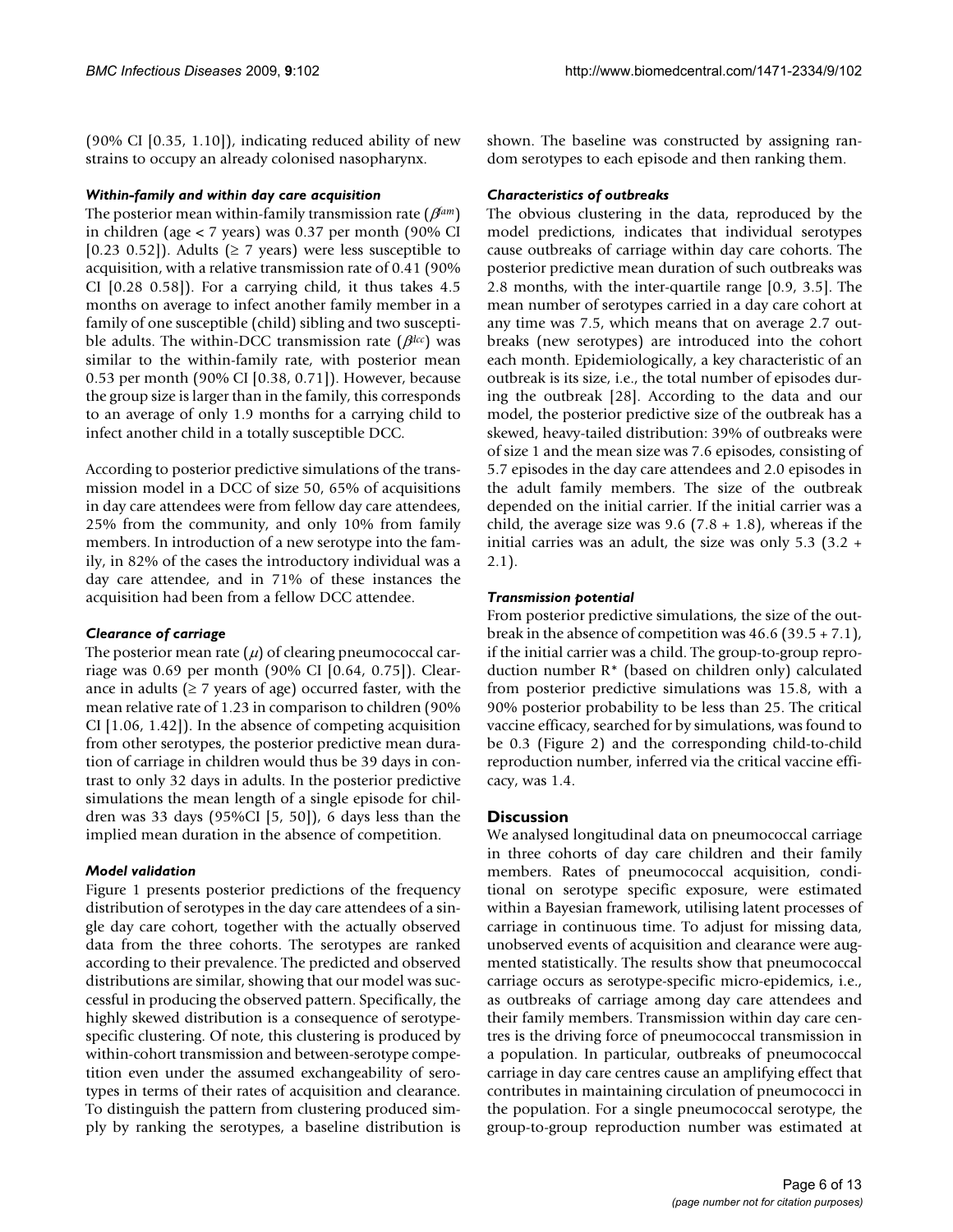$(90\% \text{ CI } [0.35, 1.10])$ , indicating reduced ability of new strains to occupy an already colonised nasopharynx.

#### *Within-family and within day care acquisition*

The posterior mean within-family transmission rate (β*fam*) in children (age < 7 years) was 0.37 per month (90% CI [0.23 0.52]). Adults ( $\geq$  7 years) were less susceptible to acquisition, with a relative transmission rate of 0.41 (90% CI [0.28 0.58]). For a carrying child, it thus takes 4.5 months on average to infect another family member in a family of one susceptible (child) sibling and two susceptible adults. The within-DCC transmission rate (β*dcc*) was similar to the within-family rate, with posterior mean 0.53 per month (90% CI [0.38, 0.71]). However, because the group size is larger than in the family, this corresponds to an average of only 1.9 months for a carrying child to infect another child in a totally susceptible DCC.

According to posterior predictive simulations of the transmission model in a DCC of size 50, 65% of acquisitions in day care attendees were from fellow day care attendees, 25% from the community, and only 10% from family members. In introduction of a new serotype into the family, in 82% of the cases the introductory individual was a day care attendee, and in 71% of these instances the acquisition had been from a fellow DCC attendee.

## *Clearance of carriage*

The posterior mean rate  $(\mu)$  of clearing pneumococcal carriage was 0.69 per month (90% CI [0.64, 0.75]). Clearance in adults ( $\geq 7$  years of age) occurred faster, with the mean relative rate of 1.23 in comparison to children (90% CI [1.06, 1.42]). In the absence of competing acquisition from other serotypes, the posterior predictive mean duration of carriage in children would thus be 39 days in contrast to only 32 days in adults. In the posterior predictive simulations the mean length of a single episode for children was 33 days (95%CI [5, 50]), 6 days less than the implied mean duration in the absence of competition.

## *Model validation*

Figure [1](#page-6-0) presents posterior predictions of the frequency distribution of serotypes in the day care attendees of a single day care cohort, together with the actually observed data from the three cohorts. The serotypes are ranked according to their prevalence. The predicted and observed distributions are similar, showing that our model was successful in producing the observed pattern. Specifically, the highly skewed distribution is a consequence of serotypespecific clustering. Of note, this clustering is produced by within-cohort transmission and between-serotype competition even under the assumed exchangeability of serotypes in terms of their rates of acquisition and clearance. To distinguish the pattern from clustering produced simply by ranking the serotypes, a baseline distribution is shown. The baseline was constructed by assigning random serotypes to each episode and then ranking them.

## *Characteristics of outbreaks*

The obvious clustering in the data, reproduced by the model predictions, indicates that individual serotypes cause outbreaks of carriage within day care cohorts. The posterior predictive mean duration of such outbreaks was 2.8 months, with the inter-quartile range [0.9, 3.5]. The mean number of serotypes carried in a day care cohort at any time was 7.5, which means that on average 2.7 outbreaks (new serotypes) are introduced into the cohort each month. Epidemiologically, a key characteristic of an outbreak is its size, i.e., the total number of episodes during the outbreak [\[28](#page-12-15)]. According to the data and our model, the posterior predictive size of the outbreak has a skewed, heavy-tailed distribution: 39% of outbreaks were of size 1 and the mean size was 7.6 episodes, consisting of 5.7 episodes in the day care attendees and 2.0 episodes in the adult family members. The size of the outbreak depended on the initial carrier. If the initial carrier was a child, the average size was  $9.6$  (7.8 + 1.8), whereas if the initial carries was an adult, the size was only 5.3 (3.2 + 2.1).

## *Transmission potential*

From posterior predictive simulations, the size of the outbreak in the absence of competition was  $46.6$  (39.5 + 7.1), if the initial carrier was a child. The group-to-group reproduction number R\* (based on children only) calculated from posterior predictive simulations was 15.8, with a 90% posterior probability to be less than 25. The critical vaccine efficacy, searched for by simulations, was found to be 0.3 (Figure [2](#page-7-0)) and the corresponding child-to-child reproduction number, inferred via the critical vaccine efficacy, was 1.4.

## **Discussion**

We analysed longitudinal data on pneumococcal carriage in three cohorts of day care children and their family members. Rates of pneumococcal acquisition, conditional on serotype specific exposure, were estimated within a Bayesian framework, utilising latent processes of carriage in continuous time. To adjust for missing data, unobserved events of acquisition and clearance were augmented statistically. The results show that pneumococcal carriage occurs as serotype-specific micro-epidemics, i.e., as outbreaks of carriage among day care attendees and their family members. Transmission within day care centres is the driving force of pneumococcal transmission in a population. In particular, outbreaks of pneumococcal carriage in day care centres cause an amplifying effect that contributes in maintaining circulation of pneumococci in the population. For a single pneumococcal serotype, the group-to-group reproduction number was estimated at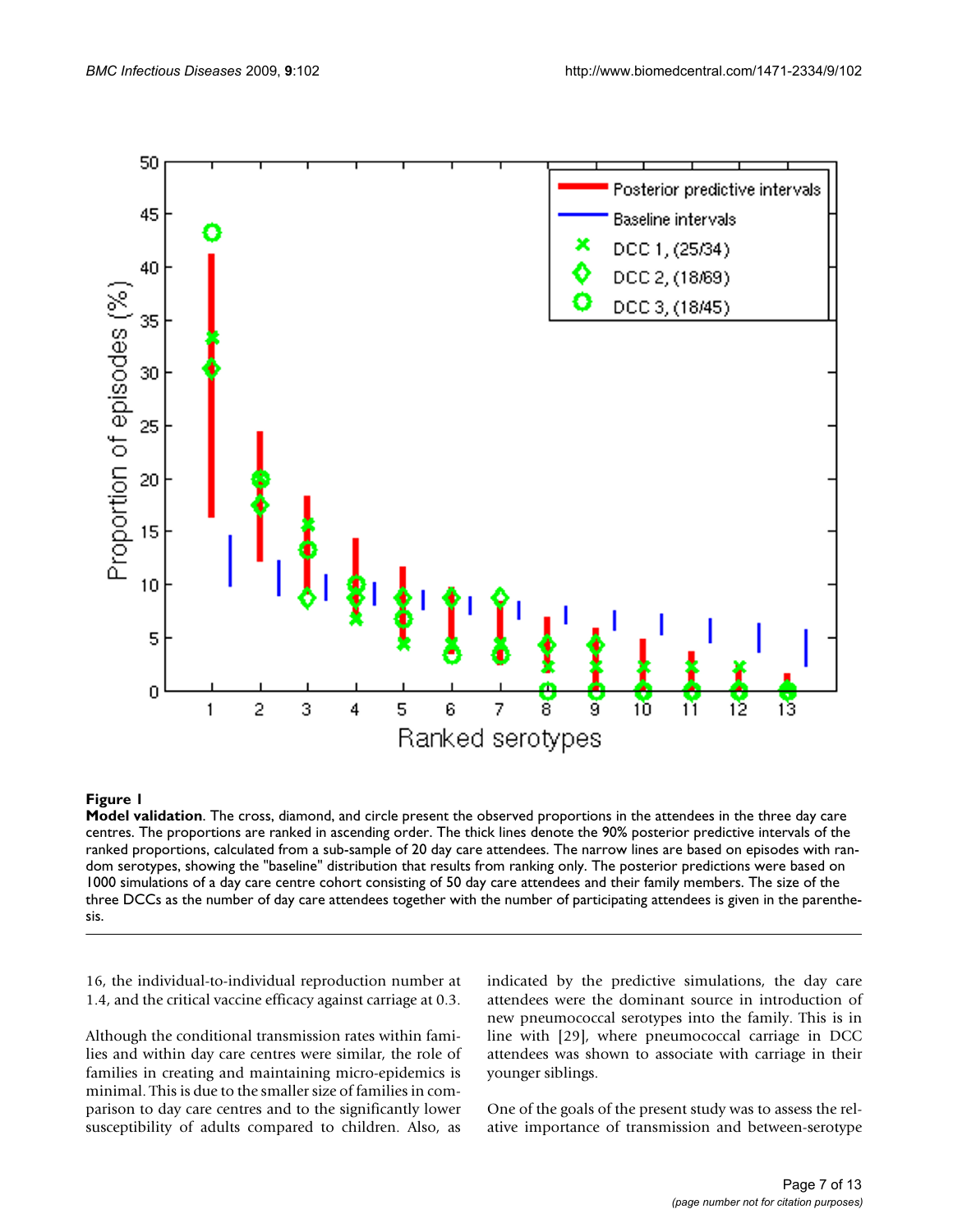<span id="page-6-0"></span>

## **Figure 1**

**Model validation**. The cross, diamond, and circle present the observed proportions in the attendees in the three day care centres. The proportions are ranked in ascending order. The thick lines denote the 90% posterior predictive intervals of the ranked proportions, calculated from a sub-sample of 20 day care attendees. The narrow lines are based on episodes with random serotypes, showing the "baseline" distribution that results from ranking only. The posterior predictions were based on 1000 simulations of a day care centre cohort consisting of 50 day care attendees and their family members. The size of the three DCCs as the number of day care attendees together with the number of participating attendees is given in the parenthesis.

16, the individual-to-individual reproduction number at 1.4, and the critical vaccine efficacy against carriage at 0.3.

Although the conditional transmission rates within families and within day care centres were similar, the role of families in creating and maintaining micro-epidemics is minimal. This is due to the smaller size of families in comparison to day care centres and to the significantly lower susceptibility of adults compared to children. Also, as indicated by the predictive simulations, the day care attendees were the dominant source in introduction of new pneumococcal serotypes into the family. This is in line with [\[29\]](#page-12-16), where pneumococcal carriage in DCC attendees was shown to associate with carriage in their younger siblings.

One of the goals of the present study was to assess the relative importance of transmission and between-serotype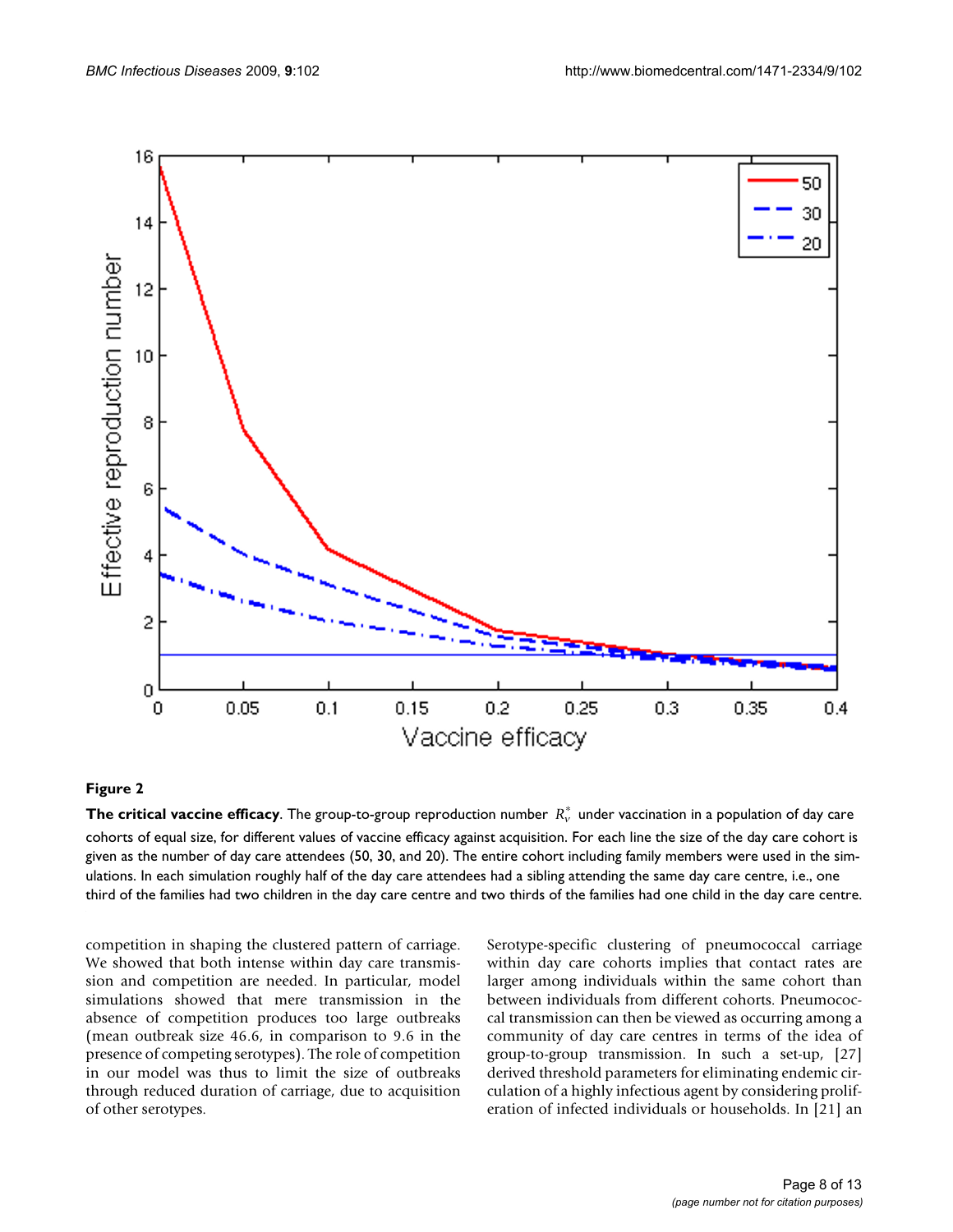<span id="page-7-0"></span>

## **Figure 2**

The critical vaccine efficacy. The group-to-group reproduction number  $R_v^*$  under vaccination in a population of day care cohorts of equal size, for different values of vaccine efficacy against acquisition. For each line the size of the day care cohort is given as the number of day care attendees (50, 30, and 20). The entire cohort including family members were used in the simulations. In each simulation roughly half of the day care attendees had a sibling attending the same day care centre, i.e., one third of the families had two children in the day care centre and two thirds of the families had one child in the day care centre.

competition in shaping the clustered pattern of carriage. We showed that both intense within day care transmission and competition are needed. In particular, model simulations showed that mere transmission in the absence of competition produces too large outbreaks (mean outbreak size 46.6, in comparison to 9.6 in the presence of competing serotypes). The role of competition in our model was thus to limit the size of outbreaks through reduced duration of carriage, due to acquisition of other serotypes.

Serotype-specific clustering of pneumococcal carriage within day care cohorts implies that contact rates are larger among individuals within the same cohort than between individuals from different cohorts. Pneumococcal transmission can then be viewed as occurring among a community of day care centres in terms of the idea of group-to-group transmission. In such a set-up, [[27\]](#page-12-14) derived threshold parameters for eliminating endemic circulation of a highly infectious agent by considering proliferation of infected individuals or households. In [\[21](#page-12-9)] an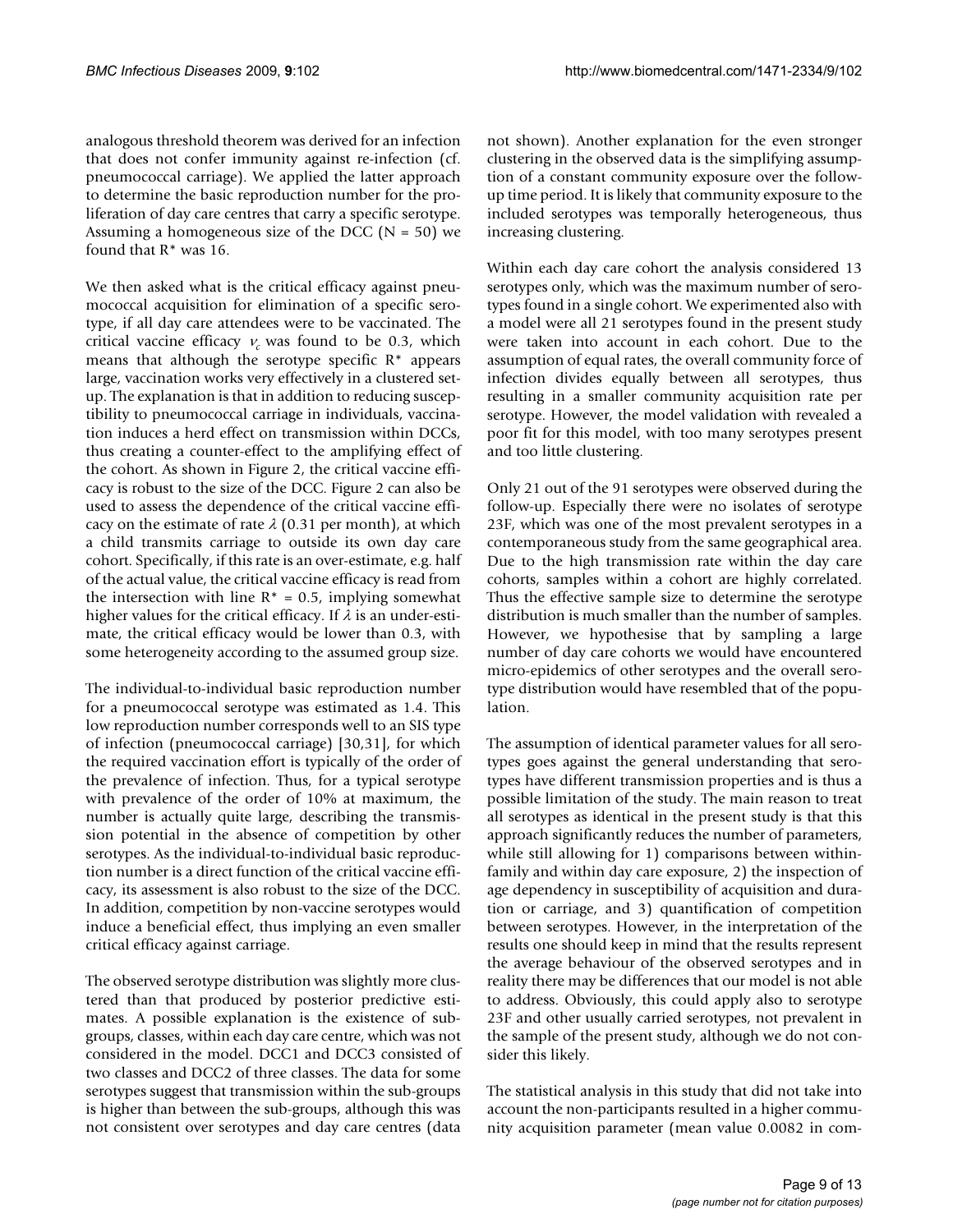analogous threshold theorem was derived for an infection that does not confer immunity against re-infection (cf. pneumococcal carriage). We applied the latter approach to determine the basic reproduction number for the proliferation of day care centres that carry a specific serotype. Assuming a homogeneous size of the DCC ( $N = 50$ ) we found that R\* was 16.

We then asked what is the critical efficacy against pneumococcal acquisition for elimination of a specific serotype, if all day care attendees were to be vaccinated. The critical vaccine efficacy  $v_c$  was found to be 0.3, which means that although the serotype specific R\* appears large, vaccination works very effectively in a clustered setup. The explanation is that in addition to reducing susceptibility to pneumococcal carriage in individuals, vaccination induces a herd effect on transmission within DCCs, thus creating a counter-effect to the amplifying effect of the cohort. As shown in Figure [2](#page-7-0), the critical vaccine efficacy is robust to the size of the DCC. Figure [2](#page-7-0) can also be used to assess the dependence of the critical vaccine efficacy on the estimate of rate  $\lambda$  (0.31 per month), at which a child transmits carriage to outside its own day care cohort. Specifically, if this rate is an over-estimate, e.g. half of the actual value, the critical vaccine efficacy is read from the intersection with line  $R^* = 0.5$ , implying somewhat higher values for the critical efficacy. If  $\lambda$  is an under-estimate, the critical efficacy would be lower than 0.3, with some heterogeneity according to the assumed group size.

The individual-to-individual basic reproduction number for a pneumococcal serotype was estimated as 1.4. This low reproduction number corresponds well to an SIS type of infection (pneumococcal carriage) [[30,](#page-12-17)[31](#page-12-18)], for which the required vaccination effort is typically of the order of the prevalence of infection. Thus, for a typical serotype with prevalence of the order of 10% at maximum, the number is actually quite large, describing the transmission potential in the absence of competition by other serotypes. As the individual-to-individual basic reproduction number is a direct function of the critical vaccine efficacy, its assessment is also robust to the size of the DCC. In addition, competition by non-vaccine serotypes would induce a beneficial effect, thus implying an even smaller critical efficacy against carriage.

The observed serotype distribution was slightly more clustered than that produced by posterior predictive estimates. A possible explanation is the existence of subgroups, classes, within each day care centre, which was not considered in the model. DCC1 and DCC3 consisted of two classes and DCC2 of three classes. The data for some serotypes suggest that transmission within the sub-groups is higher than between the sub-groups, although this was not consistent over serotypes and day care centres (data

not shown). Another explanation for the even stronger clustering in the observed data is the simplifying assumption of a constant community exposure over the followup time period. It is likely that community exposure to the included serotypes was temporally heterogeneous, thus increasing clustering.

Within each day care cohort the analysis considered 13 serotypes only, which was the maximum number of serotypes found in a single cohort. We experimented also with a model were all 21 serotypes found in the present study were taken into account in each cohort. Due to the assumption of equal rates, the overall community force of infection divides equally between all serotypes, thus resulting in a smaller community acquisition rate per serotype. However, the model validation with revealed a poor fit for this model, with too many serotypes present and too little clustering.

Only 21 out of the 91 serotypes were observed during the follow-up. Especially there were no isolates of serotype 23F, which was one of the most prevalent serotypes in a contemporaneous study from the same geographical area. Due to the high transmission rate within the day care cohorts, samples within a cohort are highly correlated. Thus the effective sample size to determine the serotype distribution is much smaller than the number of samples. However, we hypothesise that by sampling a large number of day care cohorts we would have encountered micro-epidemics of other serotypes and the overall serotype distribution would have resembled that of the population.

The assumption of identical parameter values for all serotypes goes against the general understanding that serotypes have different transmission properties and is thus a possible limitation of the study. The main reason to treat all serotypes as identical in the present study is that this approach significantly reduces the number of parameters, while still allowing for 1) comparisons between withinfamily and within day care exposure, 2) the inspection of age dependency in susceptibility of acquisition and duration or carriage, and 3) quantification of competition between serotypes. However, in the interpretation of the results one should keep in mind that the results represent the average behaviour of the observed serotypes and in reality there may be differences that our model is not able to address. Obviously, this could apply also to serotype 23F and other usually carried serotypes, not prevalent in the sample of the present study, although we do not consider this likely.

The statistical analysis in this study that did not take into account the non-participants resulted in a higher community acquisition parameter (mean value 0.0082 in com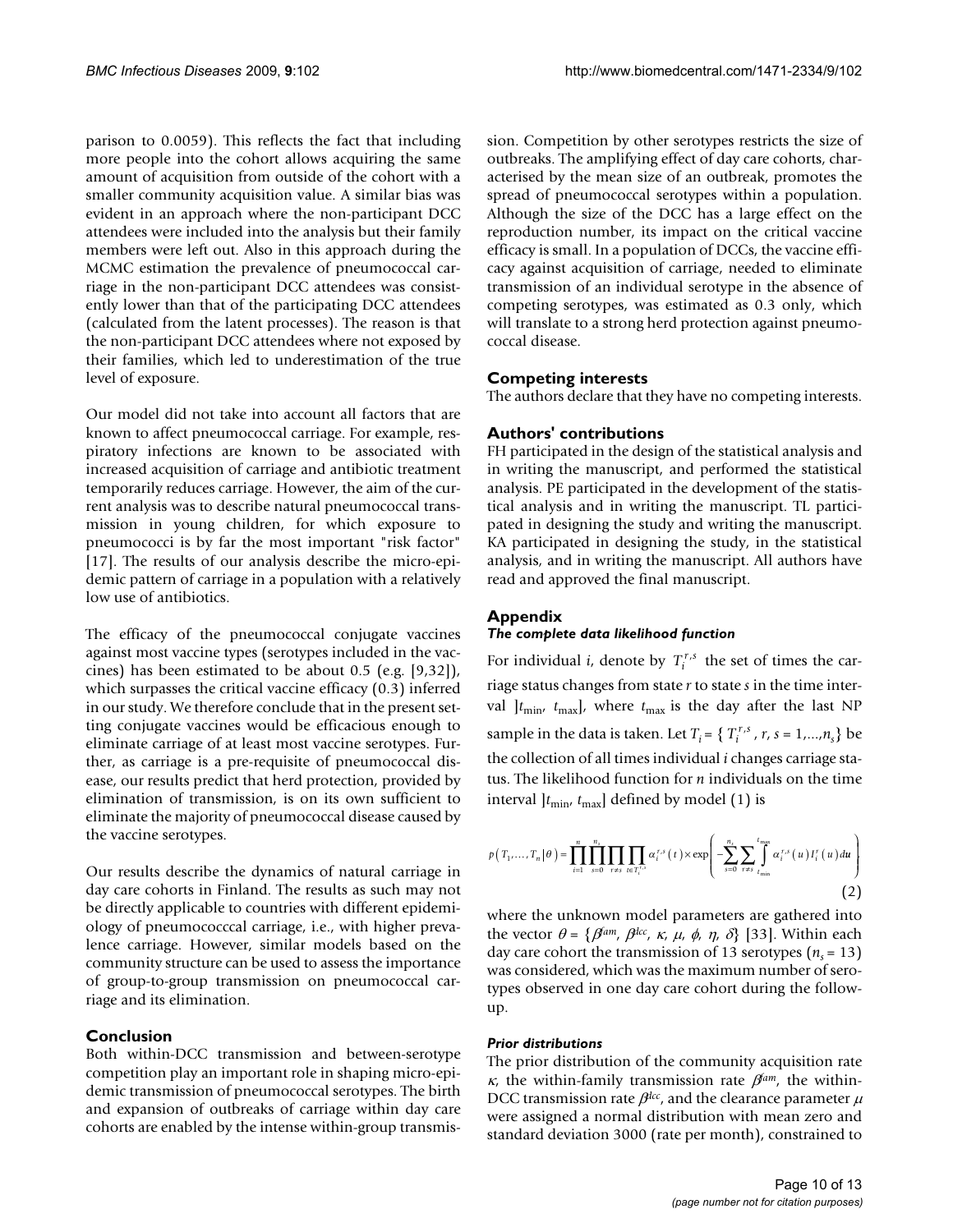parison to 0.0059). This reflects the fact that including more people into the cohort allows acquiring the same amount of acquisition from outside of the cohort with a smaller community acquisition value. A similar bias was evident in an approach where the non-participant DCC attendees were included into the analysis but their family members were left out. Also in this approach during the MCMC estimation the prevalence of pneumococcal carriage in the non-participant DCC attendees was consistently lower than that of the participating DCC attendees (calculated from the latent processes). The reason is that the non-participant DCC attendees where not exposed by their families, which led to underestimation of the true level of exposure.

Our model did not take into account all factors that are known to affect pneumococcal carriage. For example, respiratory infections are known to be associated with increased acquisition of carriage and antibiotic treatment temporarily reduces carriage. However, the aim of the current analysis was to describe natural pneumococcal transmission in young children, for which exposure to pneumococci is by far the most important "risk factor" [[17](#page-12-19)]. The results of our analysis describe the micro-epidemic pattern of carriage in a population with a relatively low use of antibiotics.

The efficacy of the pneumococcal conjugate vaccines against most vaccine types (serotypes included in the vaccines) has been estimated to be about 0.5 (e.g. [\[9](#page-12-0)[,32](#page-12-20)]), which surpasses the critical vaccine efficacy (0.3) inferred in our study. We therefore conclude that in the present setting conjugate vaccines would be efficacious enough to eliminate carriage of at least most vaccine serotypes. Further, as carriage is a pre-requisite of pneumococcal disease, our results predict that herd protection, provided by elimination of transmission, is on its own sufficient to eliminate the majority of pneumococcal disease caused by the vaccine serotypes.

Our results describe the dynamics of natural carriage in day care cohorts in Finland. The results as such may not be directly applicable to countries with different epidemiology of pneumococccal carriage, i.e., with higher prevalence carriage. However, similar models based on the community structure can be used to assess the importance of group-to-group transmission on pneumococcal carriage and its elimination.

## **Conclusion**

Both within-DCC transmission and between-serotype competition play an important role in shaping micro-epidemic transmission of pneumococcal serotypes. The birth and expansion of outbreaks of carriage within day care cohorts are enabled by the intense within-group transmission. Competition by other serotypes restricts the size of outbreaks. The amplifying effect of day care cohorts, characterised by the mean size of an outbreak, promotes the spread of pneumococcal serotypes within a population. Although the size of the DCC has a large effect on the reproduction number, its impact on the critical vaccine efficacy is small. In a population of DCCs, the vaccine efficacy against acquisition of carriage, needed to eliminate transmission of an individual serotype in the absence of competing serotypes, was estimated as 0.3 only, which will translate to a strong herd protection against pneumococcal disease.

## **Competing interests**

The authors declare that they have no competing interests.

## **Authors' contributions**

FH participated in the design of the statistical analysis and in writing the manuscript, and performed the statistical analysis. PE participated in the development of the statistical analysis and in writing the manuscript. TL participated in designing the study and writing the manuscript. KA participated in designing the study, in the statistical analysis, and in writing the manuscript. All authors have read and approved the final manuscript.

#### **Appendix** *The complete data likelihood function*

For individual *i*, denote by  $T_i^{r,s}$  the set of times the carriage status changes from state *r* to state *s* in the time interval  $|t_{\text{min}}|$ ,  $t_{\text{max}}|$ , where  $t_{\text{max}}$  is the day after the last NP sample in the data is taken. Let  $T_i = \{T_i^{r,s}, r, s = 1, ..., n_s\}$  be the collection of all times individual *i* changes carriage status. The likelihood function for *n* individuals on the time interval  $]t_{\text{min}}$ ,  $t_{\text{max}}$ ] defined by model (1) is

$$
p(T_1, ..., T_n | \theta) = \prod_{i=1}^n \prod_{s=0}^{n_i} \prod_{r \neq s} \prod_{t \in T_i^{r,s}} \alpha_i^{r,s}(t) \times \exp\left(-\sum_{s=0}^n \sum_{r \neq s} \int_{t_{\min}}^{t_{\max}} \alpha_i^{r,s}(u) I_i^r(u) du\right)
$$
(2)

where the unknown model parameters are gathered into the vector  $θ = {β^{tan}, β^{lec}, κ, μ, φ, η, δ}$  [[33](#page-12-21)]. Within each day care cohort the transmission of 13 serotypes ( $n_s$  = 13) was considered, which was the maximum number of serotypes observed in one day care cohort during the followup.

## *Prior distributions*

The prior distribution of the community acquisition rate κ, the within-family transmission rate β*fam*, the within-DCC transmission rate  $\beta^{loc}$ , and the clearance parameter  $\mu$ were assigned a normal distribution with mean zero and standard deviation 3000 (rate per month), constrained to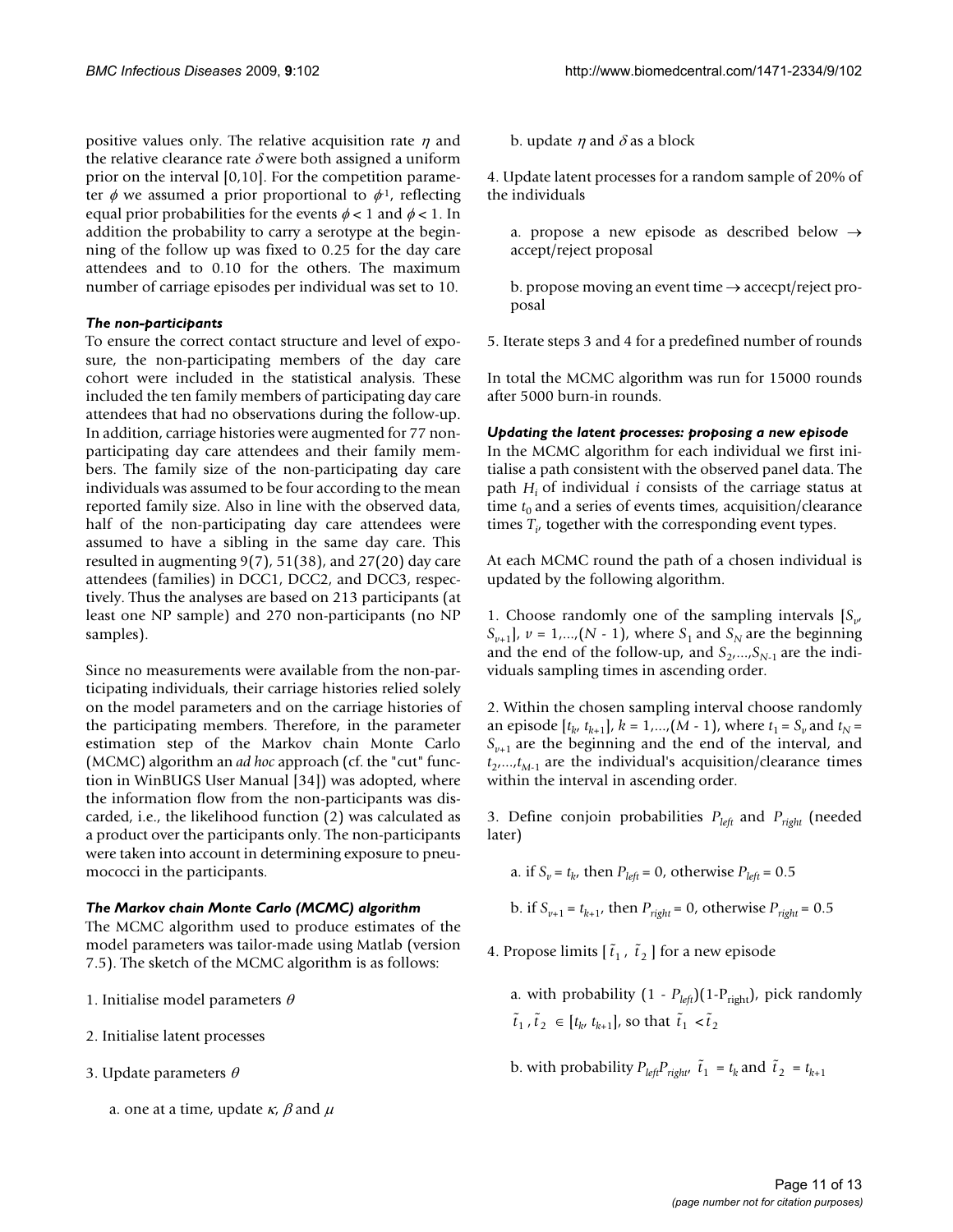positive values only. The relative acquisition rate  $\eta$  and the relative clearance rate  $\delta$  were both assigned a uniform prior on the interval [0,10]. For the competition parameter  $\phi$  we assumed a prior proportional to  $\phi$ <sup>1</sup>, reflecting equal prior probabilities for the events  $\phi$  < 1 and  $\phi$  < 1. In addition the probability to carry a serotype at the beginning of the follow up was fixed to 0.25 for the day care attendees and to 0.10 for the others. The maximum number of carriage episodes per individual was set to 10.

#### *The non-participants*

To ensure the correct contact structure and level of exposure, the non-participating members of the day care cohort were included in the statistical analysis. These included the ten family members of participating day care attendees that had no observations during the follow-up. In addition, carriage histories were augmented for 77 nonparticipating day care attendees and their family members. The family size of the non-participating day care individuals was assumed to be four according to the mean reported family size. Also in line with the observed data, half of the non-participating day care attendees were assumed to have a sibling in the same day care. This resulted in augmenting 9(7), 51(38), and 27(20) day care attendees (families) in DCC1, DCC2, and DCC3, respectively. Thus the analyses are based on 213 participants (at least one NP sample) and 270 non-participants (no NP samples).

Since no measurements were available from the non-participating individuals, their carriage histories relied solely on the model parameters and on the carriage histories of the participating members. Therefore, in the parameter estimation step of the Markov chain Monte Carlo (MCMC) algorithm an *ad hoc* approach (cf. the "cut" function in WinBUGS User Manual [[34\]](#page-12-22)) was adopted, where the information flow from the non-participants was discarded, i.e., the likelihood function (2) was calculated as a product over the participants only. The non-participants were taken into account in determining exposure to pneumococci in the participants.

## *The Markov chain Monte Carlo (MCMC) algorithm*

The MCMC algorithm used to produce estimates of the model parameters was tailor-made using Matlab (version 7.5). The sketch of the MCMC algorithm is as follows:

- 1. Initialise model parameters  $\theta$
- 2. Initialise latent processes
- 3. Update parameters  $\theta$ 
	- a. one at a time, update  $\kappa$ ,  $\beta$  and  $\mu$

b. update  $\eta$  and  $\delta$  as a block

4. Update latent processes for a random sample of 20% of the individuals

a. propose a new episode as described below  $\rightarrow$ accept/reject proposal

b. propose moving an event time  $\rightarrow$  accecpt/reject proposal

5. Iterate steps 3 and 4 for a predefined number of rounds

In total the MCMC algorithm was run for 15000 rounds after 5000 burn-in rounds.

#### *Updating the latent processes: proposing a new episode*

In the MCMC algorithm for each individual we first initialise a path consistent with the observed panel data. The path *Hi* of individual *i* consists of the carriage status at time  $t_0$  and a series of events times, acquisition/clearance times  $T_i$ , together with the corresponding event types.

At each MCMC round the path of a chosen individual is updated by the following algorithm.

1. Choose randomly one of the sampling intervals  $[S_{\nu}$  $S_{\nu+1}$ ,  $\nu = 1,...,(N - 1)$ , where  $S_1$  and  $S_N$  are the beginning and the end of the follow-up, and  $S_2$ ,..., $S_{N-1}$  are the individuals sampling times in ascending order.

2. Within the chosen sampling interval choose randomly an episode  $[t_k, t_{k+1}], k = 1, \ldots, (M - 1)$ , where  $t_1 = S_v$  and  $t_N =$  $S_{v+1}$  are the beginning and the end of the interval, and  $t_2$ ,..., $t_{M-1}$  are the individual's acquisition/clearance times within the interval in ascending order.

3. Define conjoin probabilities *Pleft* and *Pright* (needed later)

a. if  $S_v = t_{kv}$  then  $P_{left} = 0$ , otherwise  $P_{left} = 0.5$ 

b. if  $S_{v+1} = t_{k+1}$ , then  $P_{right} = 0$ , otherwise  $P_{right} = 0.5$ 

4. Propose limits  $[\tilde{t}_1, \tilde{t}_2]$  for a new episode

a. with probability  $(1 - P_{left})(1 - P_{right})$ , pick randomly  $\tilde{t}_1$ ,  $\tilde{t}_2 \in [t_k, t_{k+1}],$  so that  $\tilde{t}_1 < \tilde{t}_2$ 

b. with probability  $P_{left}P_{right}$ ,  $\tilde{t}_1 = t_k$  and  $\tilde{t}_2 = t_{k+1}$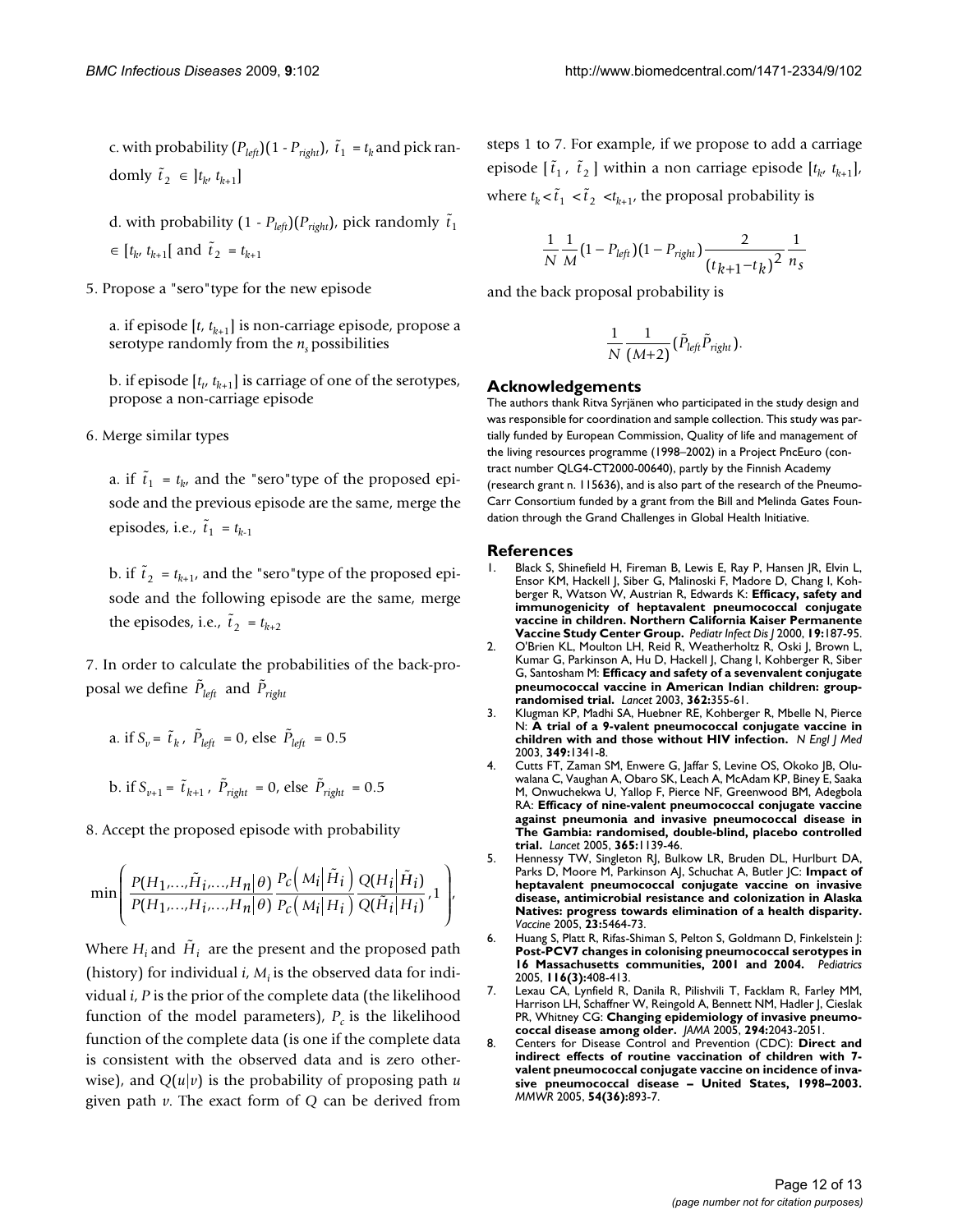c. with probability  $(P_{\text{left}})(1 - P_{\text{right}})$ ,  $\tilde{t}_1 = t_k$  and pick randomly  $\tilde{t}_2 \in [t_k, t_{k+1}]$ 

d. with probability  $(1 - P_{left})(P_{right})$ , pick randomly  $\tilde{t}_1$  $\in$  [ $t_k$ ,  $t_{k+1}$ [ and  $\tilde{t}_2 = t_{k+1}$ 

5. Propose a "sero"type for the new episode

a. if episode  $[t, t_{k+1}]$  is non-carriage episode, propose a serotype randomly from the  $n<sub>s</sub>$  possibilities

b. if episode  $[t_t, t_{k+1}]$  is carriage of one of the serotypes, propose a non-carriage episode

6. Merge similar types

a. if  $\tilde{t}_1 = t_{k'}$  and the "sero" type of the proposed episode and the previous episode are the same, merge the episodes, i.e.,  $\tilde{t}_1 = t_{k-1}$ 

b. if  $\tilde{t}_2 = t_{k+1}$ , and the "sero" type of the proposed episode and the following episode are the same, merge the episodes, i.e.,  $\tilde{t}_2 = t_{k+2}$ 

7. In order to calculate the probabilities of the back-proposal we define  $\tilde{P}_{left}$  and  $\tilde{P}_{right}$ 

a. if 
$$
S_v = \tilde{t}_k
$$
,  $\tilde{P}_{left} = 0$ , else  $\tilde{P}_{left} = 0.5$ 

 $b.$  if  $S_{\nu+1} = \tilde{t}_{k+1}$ ,  $\tilde{P}_{right} = 0$ , else  $\tilde{P}_{right} = 0.5$ 

8. Accept the proposed episode with probability

$$
\min \left( \frac{P(H_1, \ldots, \tilde{H}_i, \ldots, H_n | \theta)}{P(H_1, \ldots, H_i, \ldots, H_n | \theta)} \frac{P_c\left(M_i | \tilde{H}_i\right)}{P_c\left(M_i | H_i\right)} \frac{Q(H_i | \tilde{H}_i)}{Q(\tilde{H}_i | H_i)}, 1 \right),
$$

Where  $H_i$  and  $\tilde{H}_i$  are the present and the proposed path (history) for individual *i*, *M<sub>i</sub>* is the observed data for individual *i*, *P* is the prior of the complete data (the likelihood function of the model parameters),  $P_c$  is the likelihood function of the complete data (is one if the complete data is consistent with the observed data and is zero otherwise), and  $Q(u|v)$  is the probability of proposing path *u* given path *v*. The exact form of *Q* can be derived from steps 1 to 7. For example, if we propose to add a carriage episode  $[\tilde{t}_1, \tilde{t}_2]$  within a non carriage episode  $[t_{k}, t_{k+1}]$ , where  $t_k < \tilde{t}_1 < \tilde{t}_2 < t_{k+1}$ , the proposal probability is

$$
\frac{1}{N}\frac{1}{M}(1-P_{left})(1-P_{right})\frac{2}{(t_{k+1}-t_k)^2}\frac{1}{n_s}
$$

and the back proposal probability is

$$
\frac{1}{N} \frac{1}{(M+2)} (\tilde{P}_{\text{left}} \tilde{P}_{\text{right}}).
$$

#### **Acknowledgements**

The authors thank Ritva Syrjänen who participated in the study design and was responsible for coordination and sample collection. This study was partially funded by European Commission, Quality of life and management of the living resources programme (1998–2002) in a Project PncEuro (contract number QLG4-CT2000-00640), partly by the Finnish Academy (research grant n. 115636), and is also part of the research of the Pneumo-Carr Consortium funded by a grant from the Bill and Melinda Gates Foundation through the Grand Challenges in Global Health Initiative.

## **References**

- <span id="page-11-0"></span>Black S, Shinefield H, Fireman B, Lewis E, Ray P, Hansen JR, Elvin L, Ensor KM, Hackell J, Siber G, Malinoski F, Madore D, Chang I, Kohberger R, Watson W, Austrian R, Edwards K: **[Efficacy, safety and](http://www.ncbi.nlm.nih.gov/entrez/query.fcgi?cmd=Retrieve&db=PubMed&dopt=Abstract&list_uids=10749457) [immunogenicity of heptavalent pneumococcal conjugate](http://www.ncbi.nlm.nih.gov/entrez/query.fcgi?cmd=Retrieve&db=PubMed&dopt=Abstract&list_uids=10749457) vaccine in children. Northern California Kaiser Permanente [Vaccine Study Center Group.](http://www.ncbi.nlm.nih.gov/entrez/query.fcgi?cmd=Retrieve&db=PubMed&dopt=Abstract&list_uids=10749457)** *Pediatr Infect Dis J* 2000, **19:**187-95.
- 2. O'Brien KL, Moulton LH, Reid R, Weatherholtz R, Oski J, Brown L, Kumar G, Parkinson A, Hu D, Hackell J, Chang I, Kohberger R, Siber G, Santosham M: **[Efficacy and safety of a sevenvalent conjugate](http://www.ncbi.nlm.nih.gov/entrez/query.fcgi?cmd=Retrieve&db=PubMed&dopt=Abstract&list_uids=12907008) [pneumococcal vaccine in American Indian children: group](http://www.ncbi.nlm.nih.gov/entrez/query.fcgi?cmd=Retrieve&db=PubMed&dopt=Abstract&list_uids=12907008)[randomised trial.](http://www.ncbi.nlm.nih.gov/entrez/query.fcgi?cmd=Retrieve&db=PubMed&dopt=Abstract&list_uids=12907008)** *Lancet* 2003, **362:**355-61.
- 3. Klugman KP, Madhi SA, Huebner RE, Kohberger R, Mbelle N, Pierce N: **[A trial of a 9-valent pneumococcal conjugate vaccine in](http://www.ncbi.nlm.nih.gov/entrez/query.fcgi?cmd=Retrieve&db=PubMed&dopt=Abstract&list_uids=14523142) [children with and those without HIV infection.](http://www.ncbi.nlm.nih.gov/entrez/query.fcgi?cmd=Retrieve&db=PubMed&dopt=Abstract&list_uids=14523142)** *N Engl J Med* 2003, **349:**1341-8.
- <span id="page-11-1"></span>4. Cutts FT, Zaman SM, Enwere G, Jaffar S, Levine OS, Okoko JB, Oluwalana C, Vaughan A, Obaro SK, Leach A, McAdam KP, Biney E, Saaka M, Onwuchekwa U, Yallop F, Pierce NF, Greenwood BM, Adegbola RA: **[Efficacy of nine-valent pneumococcal conjugate vaccine](http://www.ncbi.nlm.nih.gov/entrez/query.fcgi?cmd=Retrieve&db=PubMed&dopt=Abstract&list_uids=15794968) [against pneumonia and invasive pneumococcal disease in](http://www.ncbi.nlm.nih.gov/entrez/query.fcgi?cmd=Retrieve&db=PubMed&dopt=Abstract&list_uids=15794968) The Gambia: randomised, double-blind, placebo controlled [trial.](http://www.ncbi.nlm.nih.gov/entrez/query.fcgi?cmd=Retrieve&db=PubMed&dopt=Abstract&list_uids=15794968)** *Lancet* 2005, **365:**1139-46.
- <span id="page-11-2"></span>5. Hennessy TW, Singleton RJ, Bulkow LR, Bruden DL, Hurlburt DA, Parks D, Moore M, Parkinson AJ, Schuchat A, Butler JC: **[Impact of](http://www.ncbi.nlm.nih.gov/entrez/query.fcgi?cmd=Retrieve&db=PubMed&dopt=Abstract&list_uids=16188350) heptavalent pneumococcal conjugate vaccine on invasive [disease, antimicrobial resistance and colonization in Alaska](http://www.ncbi.nlm.nih.gov/entrez/query.fcgi?cmd=Retrieve&db=PubMed&dopt=Abstract&list_uids=16188350) Natives: progress towards elimination of a health disparity.** *Vaccine* 2005, **23:**5464-73.
- 6. Huang S, Platt R, Rifas-Shiman S, Pelton S, Goldmann D, Finkelstein J: **Post-PCV7 changes in colonising pneumococcal serotypes in 16 Massachusetts communities, 2001 and 2004.** *Pediatrics* 2005, **116(3):**408-413.
- <span id="page-11-3"></span>7. Lexau CA, Lynfield R, Danila R, Pilishvili T, Facklam R, Farley MM, Harrison LH, Schaffner W, Reingold A, Bennett NM, Hadler J, Cieslak PR, Whitney CG: **[Changing epidemiology of invasive pneumo](http://www.ncbi.nlm.nih.gov/entrez/query.fcgi?cmd=Retrieve&db=PubMed&dopt=Abstract&list_uids=16249418)[coccal disease among older.](http://www.ncbi.nlm.nih.gov/entrez/query.fcgi?cmd=Retrieve&db=PubMed&dopt=Abstract&list_uids=16249418)** *JAMA* 2005, **294:**2043-2051.
- <span id="page-11-4"></span>8. Centers for Disease Control and Prevention (CDC): **[Direct and](http://www.ncbi.nlm.nih.gov/entrez/query.fcgi?cmd=Retrieve&db=PubMed&dopt=Abstract&list_uids=16163262) indirect effects of routine vaccination of children with 7 [valent pneumococcal conjugate vaccine on incidence of inva](http://www.ncbi.nlm.nih.gov/entrez/query.fcgi?cmd=Retrieve&db=PubMed&dopt=Abstract&list_uids=16163262)sive pneumococcal disease – United States, 1998–2003.** *MMWR* 2005, **54(36):**893-7.